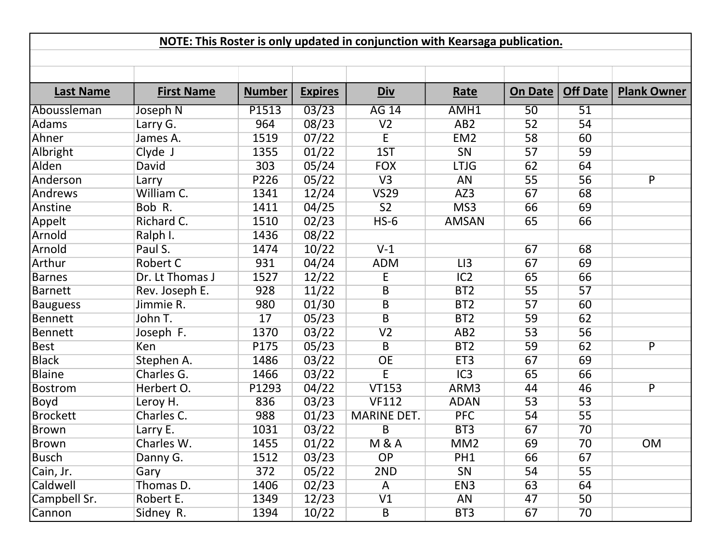| NOTE: This Roster is only updated in conjunction with Kearsaga publication. |                   |               |                |                         |                 |                 |                 |                    |  |  |  |  |
|-----------------------------------------------------------------------------|-------------------|---------------|----------------|-------------------------|-----------------|-----------------|-----------------|--------------------|--|--|--|--|
|                                                                             |                   |               |                |                         |                 |                 |                 |                    |  |  |  |  |
|                                                                             |                   |               |                |                         |                 |                 |                 |                    |  |  |  |  |
| <b>Last Name</b>                                                            | <b>First Name</b> | <b>Number</b> | <b>Expires</b> | Div                     | Rate            | <b>On Date</b>  | Off Date        | <b>Plank Owner</b> |  |  |  |  |
| Aboussleman                                                                 | Joseph N          | P1513         | 03/23          | <b>AG 14</b>            | AMH1            | $\overline{50}$ | $\overline{51}$ |                    |  |  |  |  |
| Adams                                                                       | Larry G.          | 964           | 08/23          | V <sub>2</sub>          | AB <sub>2</sub> | 52              | 54              |                    |  |  |  |  |
| Ahner                                                                       | James A.          | 1519          | 07/22          | E                       | EM <sub>2</sub> | 58              | 60              |                    |  |  |  |  |
| Albright                                                                    | Clyde J           | 1355          | 01/22          | 1ST                     | SN              | 57              | 59              |                    |  |  |  |  |
| Alden                                                                       | <b>David</b>      | 303           | 05/24          | <b>FOX</b>              | <b>LTJG</b>     | 62              | 64              |                    |  |  |  |  |
| Anderson                                                                    | Larry             | P226          | 05/22          | V3                      | <b>AN</b>       | $\overline{55}$ | 56              | $\overline{P}$     |  |  |  |  |
| Andrews                                                                     | William C.        | 1341          | 12/24          | <b>VS29</b>             | AZ3             | 67              | 68              |                    |  |  |  |  |
| Anstine                                                                     | Bob R.            | 1411          | 04/25          | $\overline{S2}$         | MS3             | 66              | 69              |                    |  |  |  |  |
| Appelt                                                                      | Richard C.        | 1510          | 02/23          | $HS-6$                  | <b>AMSAN</b>    | 65              | 66              |                    |  |  |  |  |
| Arnold                                                                      | Ralph I.          | 1436          | 08/22          |                         |                 |                 |                 |                    |  |  |  |  |
| Arnold                                                                      | Paul S.           | 1474          | 10/22          | $V-1$                   |                 | 67              | 68              |                    |  |  |  |  |
| Arthur                                                                      | <b>Robert C</b>   | 931           | 04/24          | <b>ADM</b>              | LI3             | 67              | 69              |                    |  |  |  |  |
| <b>Barnes</b>                                                               | Dr. Lt Thomas J   | 1527          | 12/22          | E                       | IC2             | 65              | 66              |                    |  |  |  |  |
| Barnett                                                                     | Rev. Joseph E.    | 928           | 11/22          | B                       | BT <sub>2</sub> | 55              | 57              |                    |  |  |  |  |
| <b>Bauguess</b>                                                             | Jimmie R.         | 980           | 01/30          | $\overline{B}$          | BT <sub>2</sub> | 57              | 60              |                    |  |  |  |  |
| Bennett                                                                     | John T.           | 17            | 05/23          | $\overline{B}$          | BT <sub>2</sub> | 59              | 62              |                    |  |  |  |  |
| <b>Bennett</b>                                                              | Joseph F.         | 1370          | 03/22          | V <sub>2</sub>          | AB2             | 53              | 56              |                    |  |  |  |  |
| <b>Best</b>                                                                 | Ken               | P175          | 05/23          | B                       | BT <sub>2</sub> | 59              | 62              | P                  |  |  |  |  |
| <b>Black</b>                                                                | Stephen A.        | 1486          | 03/22          | OE                      | ET <sub>3</sub> | 67              | 69              |                    |  |  |  |  |
| <b>Blaine</b>                                                               | Charles G.        | 1466          | 03/22          | E                       | IC3             | 65              | 66              |                    |  |  |  |  |
| <b>Bostrom</b>                                                              | Herbert O.        | P1293         | 04/22          | <b>VT153</b>            | ARM3            | 44              | 46              | $\overline{P}$     |  |  |  |  |
| <b>Boyd</b>                                                                 | Leroy H.          | 836           | 03/23          | <b>VF112</b>            | <b>ADAN</b>     | 53              | 53              |                    |  |  |  |  |
| <b>Brockett</b>                                                             | Charles C.        | 988           | 01/23          | <b>MARINE DET.</b>      | <b>PFC</b>      | 54              | 55              |                    |  |  |  |  |
| <b>Brown</b>                                                                | Larry E.          | 1031          | 03/22          | $\overline{B}$          | BT3             | 67              | 70              |                    |  |  |  |  |
| Brown                                                                       | Charles W.        | 1455          | 01/22          | <b>M&amp;A</b>          | MM2             | 69              | $\overline{70}$ | OM                 |  |  |  |  |
| <b>Busch</b>                                                                | Danny G.          | 1512          | 03/23          | OP                      | PH <sub>1</sub> | 66              | 67              |                    |  |  |  |  |
| Cain, Jr.                                                                   | Gary              | 372           | 05/22          | 2ND                     | SN              | 54              | 55              |                    |  |  |  |  |
| Caldwell                                                                    | Thomas D.         | 1406          | 02/23          | A                       | EN <sub>3</sub> | 63              | 64              |                    |  |  |  |  |
| Campbell Sr.                                                                | Robert E.         | 1349          | 12/23          | V1                      | AN              | 47              | 50              |                    |  |  |  |  |
| Cannon                                                                      | Sidney R.         | 1394          | 10/22          | $\overline{\mathsf{B}}$ | BT3             | 67              | 70              |                    |  |  |  |  |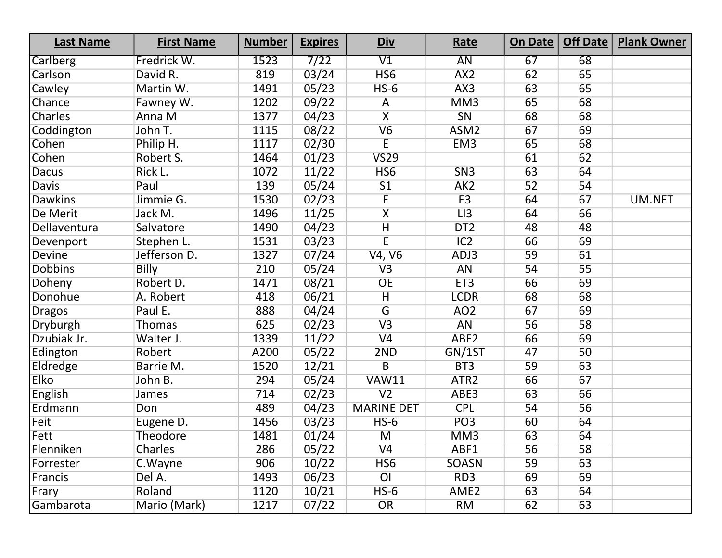| <b>Last Name</b> | <b>First Name</b> | <b>Number</b> | <b>Expires</b> | <u>Div</u>              | Rate             | On Date | Off Date        | <b>Plank Owner</b> |
|------------------|-------------------|---------------|----------------|-------------------------|------------------|---------|-----------------|--------------------|
| Carlberg         | Fredrick W.       | 1523          | 7/22           | $\overline{\text{V1}}$  | $\overline{AN}$  | 67      | 68              |                    |
| Carlson          | David R.          | 819           | 03/24          | HS <sub>6</sub>         | AX2              | 62      | 65              |                    |
| Cawley           | Martin W.         | 1491          | 05/23          | $HS-6$                  | AX3              | 63      | 65              |                    |
| Chance           | Fawney W.         | 1202          | 09/22          | A                       | MM <sub>3</sub>  | 65      | 68              |                    |
| Charles          | Anna M            | 1377          | 04/23          | $\overline{\mathsf{X}}$ | SN               | 68      | 68              |                    |
| Coddington       | John T.           | 1115          | 08/22          | V6                      | ASM <sub>2</sub> | 67      | 69              |                    |
| Cohen            | Philip H.         | 1117          | 02/30          | $\overline{E}$          | EM <sub>3</sub>  | 65      | 68              |                    |
| Cohen            | Robert S.         | 1464          | 01/23          | VS29                    |                  | 61      | 62              |                    |
| <b>Dacus</b>     | Rick L.           | 1072          | 11/22          | HS <sub>6</sub>         | SN3              | 63      | 64              |                    |
| Davis            | Paul              | 139           | 05/24          | S <sub>1</sub>          | AK <sub>2</sub>  | 52      | 54              |                    |
| <b>Dawkins</b>   | Jimmie G.         | 1530          | 02/23          | $\overline{E}$          | E3               | 64      | 67              | <b>UM.NET</b>      |
| De Merit         | Jack M.           | 1496          | 11/25          | $\overline{\mathsf{X}}$ | LI3              | 64      | 66              |                    |
| Dellaventura     | Salvatore         | 1490          | 04/23          | $\overline{H}$          | DT <sub>2</sub>  | 48      | 48              |                    |
| Devenport        | Stephen L.        | 1531          | 03/23          | $\overline{\mathsf{E}}$ | IC2              | 66      | 69              |                    |
| Devine           | Jefferson D.      | 1327          | 07/24          | V4, V6                  | ADJ3             | 59      | 61              |                    |
| <b>Dobbins</b>   | <b>Billy</b>      | 210           | 05/24          | V3                      | AN               | 54      | 55              |                    |
| Doheny           | Robert D.         | 1471          | 08/21          | OE                      | ET <sub>3</sub>  | 66      | 69              |                    |
| Donohue          | A. Robert         | 418           | 06/21          | H                       | <b>LCDR</b>      | 68      | 68              |                    |
| <b>Dragos</b>    | Paul E.           | 888           | 04/24          | $\overline{G}$          | AO <sub>2</sub>  | 67      | 69              |                    |
| Dryburgh         | Thomas            | 625           | 02/23          | V3                      | AN               | 56      | 58              |                    |
| Dzubiak Jr.      | Walter J.         | 1339          | 11/22          | V <sub>4</sub>          | ABF <sub>2</sub> | 66      | 69              |                    |
| Edington         | Robert            | A200          | 05/22          | 2ND                     | GN/1ST           | 47      | 50              |                    |
| Eldredge         | Barrie M.         | 1520          | 12/21          | $\overline{B}$          | BT <sub>3</sub>  | 59      | 63              |                    |
| <b>Elko</b>      | John B.           | 294           | 05/24          | <b>VAW11</b>            | ATR <sub>2</sub> | 66      | 67              |                    |
| English          | James             | 714           | 02/23          | V <sub>2</sub>          | ABE3             | 63      | 66              |                    |
| Erdmann          | Don               | 489           | 04/23          | <b>MARINE DET</b>       | <b>CPL</b>       | 54      | $\overline{56}$ |                    |
| Feit             | Eugene D.         | 1456          | 03/23          | $HS-6$                  | PO <sub>3</sub>  | 60      | 64              |                    |
| Fett             | Theodore          | 1481          | 01/24          | $\overline{M}$          | MM <sub>3</sub>  | 63      | 64              |                    |
| Flenniken        | Charles           | 286           | 05/22          | V <sub>4</sub>          | ABF1             | 56      | 58              |                    |
| Forrester        | C.Wayne           | 906           | 10/22          | HS <sub>6</sub>         | <b>SOASN</b>     | 59      | 63              |                    |
| Francis          | Del A.            | 1493          | 06/23          | $\overline{O}$          | RD <sub>3</sub>  | 69      | 69              |                    |
| Frary            | Roland            | 1120          | 10/21          | $HS-6$                  | AME <sub>2</sub> | 63      | 64              |                    |
| Gambarota        | Mario (Mark)      | 1217          | 07/22          | OR                      | RM               | 62      | 63              |                    |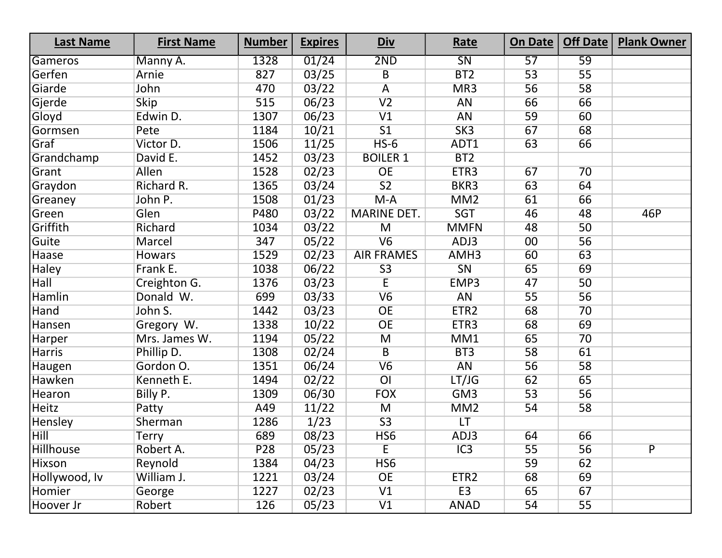| <b>Last Name</b> | <b>First Name</b> | <b>Number</b> | <b>Expires</b> | <u>Div</u>         | Rate             | On Date | Off Date        | <b>Plank Owner</b> |
|------------------|-------------------|---------------|----------------|--------------------|------------------|---------|-----------------|--------------------|
| Gameros          | Manny A.          | 1328          | 01/24          | 2ND                | SN               | 57      | 59              |                    |
| Gerfen           | Arnie             | 827           | 03/25          | $\overline{B}$     | BT <sub>2</sub>  | 53      | $\overline{55}$ |                    |
| Giarde           | John              | 470           | 03/22          | $\overline{A}$     | MR3              | 56      | 58              |                    |
| Gjerde           | <b>Skip</b>       | 515           | 06/23          | V <sub>2</sub>     | <b>AN</b>        | 66      | 66              |                    |
| Gloyd            | Edwin D.          | 1307          | 06/23          | V1                 | AN               | 59      | 60              |                    |
| Gormsen          | Pete              | 1184          | 10/21          | $\overline{S1}$    | SK3              | 67      | 68              |                    |
| Graf             | Victor D.         | 1506          | 11/25          | $HS-6$             | ADT1             | 63      | 66              |                    |
| Grandchamp       | David E.          | 1452          | 03/23          | <b>BOILER 1</b>    | BT <sub>2</sub>  |         |                 |                    |
| Grant            | Allen             | 1528          | 02/23          | <b>OE</b>          | ETR3             | 67      | 70              |                    |
| Graydon          | Richard R.        | 1365          | 03/24          | $\overline{S2}$    | BKR3             | 63      | 64              |                    |
| Greaney          | John P.           | 1508          | 01/23          | $M-A$              | MM2              | 61      | 66              |                    |
| Green            | Glen              | P480          | 03/22          | <b>MARINE DET.</b> | SGT              | 46      | 48              | 46P                |
| Griffith         | Richard           | 1034          | 03/22          | $\overline{M}$     | <b>MMFN</b>      | 48      | 50              |                    |
| Guite            | Marcel            | 347           | 05/22          | V6                 | ADJ3             | $00\,$  | 56              |                    |
| Haase            | <b>Howars</b>     | 1529          | 02/23          | <b>AIR FRAMES</b>  | AMH <sub>3</sub> | 60      | 63              |                    |
| Haley            | Frank E.          | 1038          | 06/22          | S <sub>3</sub>     | SN               | 65      | 69              |                    |
| <b>Hall</b>      | Creighton G.      | 1376          | 03/23          | $\overline{E}$     | EMP3             | 47      | 50              |                    |
| <b>Hamlin</b>    | Donald W.         | 699           | 03/33          | V6                 | AN               | 55      | 56              |                    |
| Hand             | John S.           | 1442          | 03/23          | OE                 | ETR <sub>2</sub> | 68      | 70              |                    |
| Hansen           | Gregory W.        | 1338          | 10/22          | <b>OE</b>          | ETR3             | 68      | 69              |                    |
| Harper           | Mrs. James W.     | 1194          | 05/22          | M                  | MM1              | 65      | 70              |                    |
| <b>Harris</b>    | Phillip D.        | 1308          | 02/24          | $\overline{B}$     | BT3              | 58      | 61              |                    |
| Haugen           | Gordon O.         | 1351          | 06/24          | V6                 | <b>AN</b>        | 56      | 58              |                    |
| Hawken           | Kenneth E.        | 1494          | 02/22          | $\overline{O}$     | LT/JG            | 62      | 65              |                    |
| Hearon           | Billy P.          | 1309          | 06/30          | <b>FOX</b>         | GM <sub>3</sub>  | 53      | $\overline{56}$ |                    |
| Heitz            | Patty             | A49           | 11/22          | M                  | MM <sub>2</sub>  | 54      | 58              |                    |
| Hensley          | Sherman           | 1286          | 1/23           | S3                 | LT               |         |                 |                    |
| <b>Hill</b>      | <b>Terry</b>      | 689           | 08/23          | HS <sub>6</sub>    | ADJ3             | 64      | 66              |                    |
| Hillhouse        | Robert A.         | P28           | 05/23          | E                  | IC3              | 55      | 56              | $\overline{P}$     |
| Hixson           | Reynold           | 1384          | 04/23          | HS <sub>6</sub>    |                  | 59      | 62              |                    |
| Hollywood, Iv    | William J.        | 1221          | 03/24          | <b>OE</b>          | ETR <sub>2</sub> | 68      | 69              |                    |
| Homier           | George            | 1227          | 02/23          | V1                 | E <sub>3</sub>   | 65      | 67              |                    |
| Hoover Jr        | Robert            | 126           | 05/23          | V1                 | <b>ANAD</b>      | 54      | 55              |                    |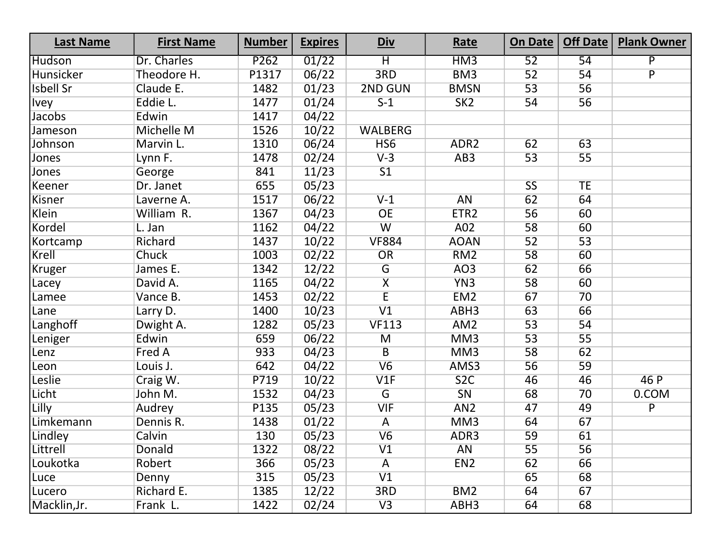| <b>Last Name</b> | <b>First Name</b> | <b>Number</b> | <b>Expires</b> | <u>Div</u>              | Rate             | On Date                | <b>Off Date</b> | <b>Plank Owner</b> |
|------------------|-------------------|---------------|----------------|-------------------------|------------------|------------------------|-----------------|--------------------|
| Hudson           | Dr. Charles       | P262          | 01/22          | $\overline{\mathsf{H}}$ | HM <sub>3</sub>  | 52                     | 54              | P                  |
| Hunsicker        | Theodore H.       | P1317         | 06/22          | 3RD                     | BM <sub>3</sub>  | 52                     | 54              | $\overline{P}$     |
| <b>Isbell Sr</b> | Claude E.         | 1482          | 01/23          | 2ND GUN                 | <b>BMSN</b>      | 53                     | 56              |                    |
| <b>Ivey</b>      | Eddie L.          | 1477          | 01/24          | $S-1$                   | SK2              | 54                     | 56              |                    |
| Jacobs           | Edwin             | 1417          | 04/22          |                         |                  |                        |                 |                    |
| Jameson          | Michelle M        | 1526          | 10/22          | <b>WALBERG</b>          |                  |                        |                 |                    |
| Johnson          | Marvin L.         | 1310          | 06/24          | HS <sub>6</sub>         | ADR <sub>2</sub> | 62                     | 63              |                    |
| Jones            | Lynn F.           | 1478          | 02/24          | $V-3$                   | AB <sub>3</sub>  | 53                     | 55              |                    |
| Jones            | George            | 841           | 11/23          | 51                      |                  |                        |                 |                    |
| Keener           | Dr. Janet         | 655           | 05/23          |                         |                  | $\overline{\text{SS}}$ | <b>TE</b>       |                    |
| Kisner           | Laverne A.        | 1517          | 06/22          | $V-1$                   | AN               | 62                     | 64              |                    |
| Klein            | William R.        | 1367          | 04/23          | <b>OE</b>               | ETR <sub>2</sub> | 56                     | 60              |                    |
| Kordel           | L. Jan            | 1162          | 04/22          | $\overline{W}$          | A02              | 58                     | 60              |                    |
| Kortcamp         | Richard           | 1437          | 10/22          | <b>VF884</b>            | <b>AOAN</b>      | 52                     | 53              |                    |
| Krell            | Chuck             | 1003          | 02/22          | OR                      | RM <sub>2</sub>  | 58                     | 60              |                    |
| Kruger           | James E.          | 1342          | 12/22          | $\overline{G}$          | AO <sub>3</sub>  | 62                     | 66              |                    |
| Lacey            | David A.          | 1165          | 04/22          | $\overline{\mathsf{X}}$ | YN3              | 58                     | 60              |                    |
| Lamee            | Vance B.          | 1453          | 02/22          | $\overline{E}$          | EM <sub>2</sub>  | 67                     | 70              |                    |
| Lane             | Larry D.          | 1400          | 10/23          | $\overline{V1}$         | ABH3             | 63                     | 66              |                    |
| Langhoff         | Dwight A.         | 1282          | 05/23          | <b>VF113</b>            | AM <sub>2</sub>  | 53                     | 54              |                    |
| Leniger          | Edwin             | 659           | 06/22          | M                       | MM3              | 53                     | 55              |                    |
| Lenz             | Fred A            | 933           | 04/23          | $\overline{B}$          | MM <sub>3</sub>  | 58                     | 62              |                    |
| Leon             | Louis J.          | 642           | 04/22          | V6                      | AMS3             | 56                     | 59              |                    |
| Leslie           | Craig W.          | P719          | 10/22          | V1F                     | 52C              | 46                     | 46              | 46 P               |
| Licht            | John M.           | 1532          | 04/23          | $\overline{G}$          | SN               | 68                     | 70              | 0.COM              |
| Lilly            | Audrey            | P135          | 05/23          | <b>VIF</b>              | AN <sub>2</sub>  | 47                     | 49              | $\overline{P}$     |
| Limkemann        | Dennis R.         | 1438          | 01/22          | A                       | MM <sub>3</sub>  | 64                     | 67              |                    |
| Lindley          | Calvin            | 130           | 05/23          | V6                      | ADR3             | 59                     | 61              |                    |
| Littrell         | Donald            | 1322          | 08/22          | V <sub>1</sub>          | AN               | 55                     | 56              |                    |
| Loukotka         | Robert            | 366           | 05/23          | A                       | EN <sub>2</sub>  | 62                     | 66              |                    |
| Luce             | Denny             | 315           | 05/23          | V1                      |                  | 65                     | 68              |                    |
| Lucero           | Richard E.        | 1385          | 12/22          | 3RD                     | BM <sub>2</sub>  | 64                     | 67              |                    |
| Macklin, Jr.     | Frank L.          | 1422          | 02/24          | V3                      | ABH3             | 64                     | 68              |                    |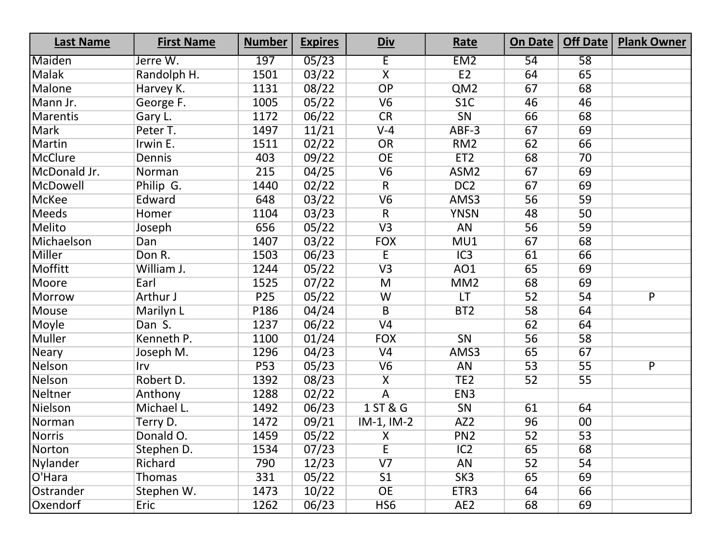| <b>Last Name</b> | <b>First Name</b> | <b>Number</b>   | <b>Expires</b> | <u>Div</u>              | Rate             | On Date         | Off Date        | <b>Plank Owner</b> |
|------------------|-------------------|-----------------|----------------|-------------------------|------------------|-----------------|-----------------|--------------------|
| Maiden           | Jerre W.          | 197             | 05/23          | Έ                       | EM <sub>2</sub>  | 54              | $\overline{58}$ |                    |
| Malak            | Randolph H.       | 1501            | 03/22          | $\overline{\mathsf{X}}$ | E2               | 64              | 65              |                    |
| <b>Malone</b>    | Harvey K.         | 1131            | 08/22          | OP                      | QM <sub>2</sub>  | 67              | 68              |                    |
| Mann Jr.         | George F.         | 1005            | 05/22          | V6                      | 51C              | 46              | 46              |                    |
| <b>Marentis</b>  | Gary L.           | 1172            | 06/22          | CR                      | SN               | 66              | 68              |                    |
| <b>Mark</b>      | Peter T.          | 1497            | 11/21          | $V-4$                   | ABF-3            | 67              | 69              |                    |
| Martin           | Irwin E.          | 1511            | 02/22          | OR                      | RM <sub>2</sub>  | 62              | 66              |                    |
| <b>McClure</b>   | <b>Dennis</b>     | 403             | 09/22          | <b>OE</b>               | ET <sub>2</sub>  | 68              | 70              |                    |
| McDonald Jr.     | Norman            | 215             | 04/25          | V6                      | ASM <sub>2</sub> | 67              | 69              |                    |
| McDowell         | Philip G.         | 1440            | 02/22          | $\overline{R}$          | DC <sub>2</sub>  | 67              | 69              |                    |
| <b>McKee</b>     | Edward            | 648             | 03/22          | V6                      | AMS3             | 56              | 59              |                    |
| Meeds            | Homer             | 1104            | 03/23          | $\overline{R}$          | <b>YNSN</b>      | 48              | 50              |                    |
| Melito           | Joseph            | 656             | 05/22          | V3                      | <b>AN</b>        | 56              | 59              |                    |
| Michaelson       | Dan               | 1407            | 03/22          | <b>FOX</b>              | MU1              | 67              | 68              |                    |
| <b>Miller</b>    | Don R.            | 1503            | 06/23          | $\overline{E}$          | IC3              | 61              | 66              |                    |
| Moffitt          | William J.        | 1244            | 05/22          | V3                      | AO1              | 65              | 69              |                    |
| Moore            | Earl              | 1525            | 07/22          | $\overline{M}$          | MM2              | 68              | 69              |                    |
| <b>Morrow</b>    | Arthur J          | P <sub>25</sub> | 05/22          | W                       | LT               | 52              | 54              | $\overline{P}$     |
| Mouse            | Marilyn L         | P186            | 04/24          | $\overline{B}$          | BT <sub>2</sub>  | 58              | 64              |                    |
| Moyle            | Dan S.            | 1237            | 06/22          | V <sub>4</sub>          |                  | 62              | 64              |                    |
| <b>Muller</b>    | Kenneth P.        | 1100            | 01/24          | <b>FOX</b>              | SN               | 56              | 58              |                    |
| <b>Neary</b>     | Joseph M.         | 1296            | 04/23          | V <sub>4</sub>          | AMS3             | 65              | 67              |                    |
| Nelson           | Irv               | <b>P53</b>      | 05/23          | V6                      | AN               | 53              | 55              | P                  |
| Nelson           | Robert D.         | 1392            | 08/23          | $\overline{\mathsf{x}}$ | TE <sub>2</sub>  | 52              | 55              |                    |
| Neltner          | Anthony           | 1288            | 02/22          | $\overline{A}$          | EN <sub>3</sub>  |                 |                 |                    |
| Nielson          | Michael L.        | 1492            | 06/23          | 1 ST & G                | SN               | 61              | 64              |                    |
| Norman           | Terry D.          | 1472            | 09/21          | $IM-1, IM-2$            | AZ <sub>2</sub>  | 96              | 00              |                    |
| <b>Norris</b>    | Donald O.         | 1459            | 05/22          | $\overline{X}$          | PN <sub>2</sub>  | $\overline{52}$ | $\overline{53}$ |                    |
| Norton           | Stephen D.        | 1534            | 07/23          | E                       | IC2              | 65              | 68              |                    |
| Nylander         | Richard           | 790             | 12/23          | V <sub>7</sub>          | <b>AN</b>        | 52              | 54              |                    |
| O'Hara           | <b>Thomas</b>     | 331             | 05/22          | 51                      | SK3              | 65              | 69              |                    |
| Ostrander        | Stephen W.        | 1473            | 10/22          | <b>OE</b>               | ETR3             | 64              | 66              |                    |
| Oxendorf         | Eric              | 1262            | 06/23          | HS <sub>6</sub>         | AE <sub>2</sub>  | 68              | 69              |                    |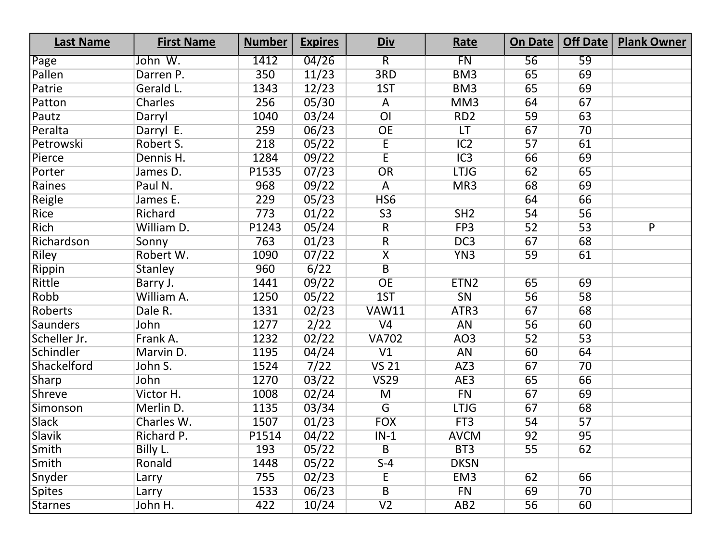| <b>Last Name</b> | <b>First Name</b> | <b>Number</b> | <b>Expires</b> | <u>Div</u>              | Rate             | On Date $ $ | Off Date | <b>Plank Owner</b> |
|------------------|-------------------|---------------|----------------|-------------------------|------------------|-------------|----------|--------------------|
| Page             | John W.           | 1412          | 04/26          | $\overline{R}$          | FN               | 56          | 59       |                    |
| Pallen           | Darren P.         | 350           | 11/23          | 3RD                     | BM <sub>3</sub>  | 65          | 69       |                    |
| Patrie           | Gerald L.         | 1343          | 12/23          | 1ST                     | BM <sub>3</sub>  | 65          | 69       |                    |
| Patton           | Charles           | 256           | 05/30          | A                       | MM3              | 64          | 67       |                    |
| Pautz            | Darryl            | 1040          | 03/24          | $\overline{O}$          | RD <sub>2</sub>  | 59          | 63       |                    |
| Peralta          | Darryl E.         | 259           | 06/23          | OE                      | LT               | 67          | 70       |                    |
| Petrowski        | Robert S.         | 218           | 05/22          | E                       | IC2              | 57          | 61       |                    |
| Pierce           | Dennis H.         | 1284          | 09/22          | $\overline{E}$          | $\overline{IC3}$ | 66          | 69       |                    |
| Porter           | James D.          | P1535         | 07/23          | OR                      | <b>LTJG</b>      | 62          | 65       |                    |
| Raines           | Paul N.           | 968           | 09/22          | A                       | MR3              | 68          | 69       |                    |
| Reigle           | James E.          | 229           | 05/23          | HS <sub>6</sub>         |                  | 64          | 66       |                    |
| Rice             | Richard           | 773           | 01/22          | S3                      | SH2              | 54          | 56       |                    |
| Rich             | William D.        | P1243         | 05/24          | $\overline{R}$          | FP <sub>3</sub>  | 52          | 53       | $\overline{P}$     |
| Richardson       | Sonny             | 763           | 01/23          | $\overline{R}$          | DC <sub>3</sub>  | 67          | 68       |                    |
| Riley            | Robert W.         | 1090          | 07/22          | $\overline{\mathsf{X}}$ | YN3              | 59          | 61       |                    |
| Rippin           | Stanley           | 960           | 6/22           | $\overline{B}$          |                  |             |          |                    |
| Rittle           | Barry J.          | 1441          | 09/22          | OE                      | ETN <sub>2</sub> | 65          | 69       |                    |
| Robb             | William A.        | 1250          | 05/22          | 1ST                     | SN               | 56          | 58       |                    |
| Roberts          | Dale R.           | 1331          | 02/23          | <b>VAW11</b>            | ATR3             | 67          | 68       |                    |
| <b>Saunders</b>  | John              | 1277          | 2/22           | V <sub>4</sub>          | <b>AN</b>        | 56          | 60       |                    |
| Scheller Jr.     | Frank A.          | 1232          | 02/22          | <b>VA702</b>            | AO <sub>3</sub>  | 52          | 53       |                    |
| Schindler        | Marvin D.         | 1195          | 04/24          | V1                      | AN               | 60          | 64       |                    |
| Shackelford      | John S.           | 1524          | 7/22           | <b>VS 21</b>            | AZ3              | 67          | 70       |                    |
| Sharp            | John              | 1270          | 03/22          | <b>VS29</b>             | AE3              | 65          | 66       |                    |
| Shreve           | Victor H.         | 1008          | 02/24          | M                       | FN               | 67          | 69       |                    |
| Simonson         | Merlin D.         | 1135          | 03/34          | $\overline{G}$          | <b>LTJG</b>      | 67          | 68       |                    |
| <b>Slack</b>     | Charles W.        | 1507          | 01/23          | <b>FOX</b>              | FT3              | 54          | 57       |                    |
| <b>Slavik</b>    | Richard P.        | P1514         | 04/22          | $IN-1$                  | <b>AVCM</b>      | 92          | 95       |                    |
| Smith            | Billy L.          | 193           | 05/22          | B                       | BT3              | 55          | 62       |                    |
| Smith            | Ronald            | 1448          | 05/22          | $S-4$                   | <b>DKSN</b>      |             |          |                    |
| Snyder           | Larry             | 755           | 02/23          | E                       | EM <sub>3</sub>  | 62          | 66       |                    |
| <b>Spites</b>    | Larry             | 1533          | 06/23          | $\sf B$                 | <b>FN</b>        | 69          | 70       |                    |
| <b>Starnes</b>   | John H.           | 422           | 10/24          | V <sub>2</sub>          | AB <sub>2</sub>  | 56          | 60       |                    |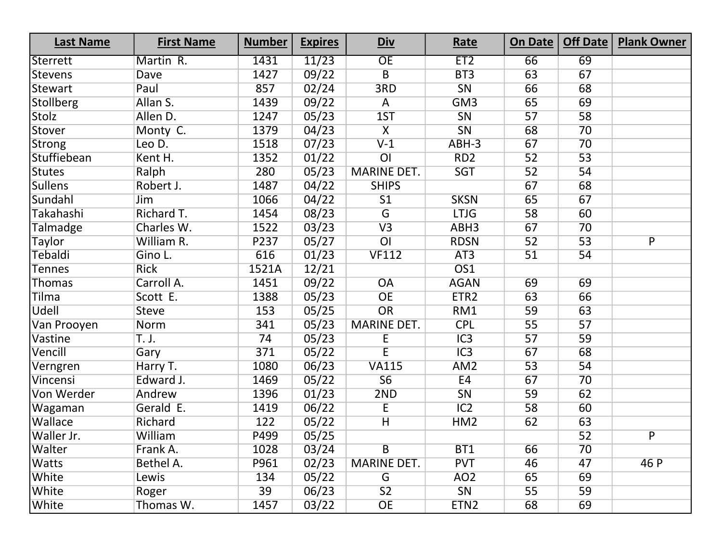| <b>Last Name</b> | <b>First Name</b> | <b>Number</b> | <b>Expires</b> | <u>Div</u>              | Rate             | On Date         | Off Date        | <b>Plank Owner</b> |
|------------------|-------------------|---------------|----------------|-------------------------|------------------|-----------------|-----------------|--------------------|
| Sterrett         | Martin R.         | 1431          | 11/23          | OE                      | ET <sub>2</sub>  | 66              | 69              |                    |
| <b>Stevens</b>   | Dave              | 1427          | 09/22          | $\overline{B}$          | BT3              | 63              | 67              |                    |
| <b>Stewart</b>   | Paul              | 857           | 02/24          | 3RD                     | SN               | 66              | 68              |                    |
| <b>Stollberg</b> | Allan S.          | 1439          | 09/22          | A                       | GM <sub>3</sub>  | 65              | 69              |                    |
| Stolz            | Allen D.          | 1247          | 05/23          | 1ST                     | SN               | 57              | 58              |                    |
| Stover           | Monty C.          | 1379          | 04/23          | $\overline{\mathsf{X}}$ | SN               | 68              | 70              |                    |
| <b>Strong</b>    | Leo D.            | 1518          | 07/23          | $V-1$                   | ABH-3            | 67              | 70              |                    |
| Stuffiebean      | Kent H.           | 1352          | 01/22          | $\overline{O}$          | RD <sub>2</sub>  | 52              | $\overline{53}$ |                    |
| <b>Stutes</b>    | Ralph             | 280           | 05/23          | <b>MARINE DET.</b>      | <b>SGT</b>       | 52              | 54              |                    |
| <b>Sullens</b>   | Robert J.         | 1487          | 04/22          | <b>SHIPS</b>            |                  | 67              | 68              |                    |
| Sundahl          | Jim               | 1066          | 04/22          | $\overline{S1}$         | <b>SKSN</b>      | 65              | 67              |                    |
| Takahashi        | Richard T.        | 1454          | 08/23          | G                       | <b>LTJG</b>      | 58              | 60              |                    |
| Talmadge         | Charles W.        | 1522          | 03/23          | V3                      | ABH <sub>3</sub> | 67              | 70              |                    |
| <b>Taylor</b>    | William R.        | P237          | 05/27          | $\overline{O}$          | <b>RDSN</b>      | 52              | 53              | $\overline{P}$     |
| Tebaldi          | Gino L.           | 616           | 01/23          | <b>VF112</b>            | AT3              | 51              | 54              |                    |
| <b>Tennes</b>    | <b>Rick</b>       | 1521A         | 12/21          |                         | OS1              |                 |                 |                    |
| Thomas           | Carroll A.        | 1451          | 09/22          | $\overline{OA}$         | <b>AGAN</b>      | 69              | 69              |                    |
| <b>Tilma</b>     | Scott E.          | 1388          | 05/23          | <b>OE</b>               | ETR <sub>2</sub> | 63              | 66              |                    |
| Udell            | <b>Steve</b>      | 153           | 05/25          | OR                      | RM1              | 59              | 63              |                    |
| Van Prooyen      | Norm              | 341           | 05/23          | <b>MARINE DET.</b>      | <b>CPL</b>       | $\overline{55}$ | 57              |                    |
| Vastine          | T. J.             | 74            | 05/23          | E                       | IC3              | 57              | 59              |                    |
| Vencill          | Gary              | 371           | 05/22          | $\overline{E}$          | IC3              | 67              | 68              |                    |
| Verngren         | Harry T.          | 1080          | 06/23          | <b>VA115</b>            | AM <sub>2</sub>  | 53              | 54              |                    |
| Vincensi         | Edward J.         | 1469          | 05/22          | 56                      | E4               | 67              | 70              |                    |
| Von Werder       | Andrew            | 1396          | 01/23          | 2ND                     | SN               | 59              | 62              |                    |
| Wagaman          | Gerald E.         | 1419          | 06/22          | $\overline{E}$          | IC2              | 58              | 60              |                    |
| Wallace          | Richard           | 122           | 05/22          | $\overline{H}$          | HM <sub>2</sub>  | 62              | 63              |                    |
| Waller Jr.       | William           | P499          | 05/25          |                         |                  |                 | $\overline{52}$ | $\overline{P}$     |
| Walter           | Frank A.          | 1028          | 03/24          | $\overline{B}$          | BT1              | 66              | 70              |                    |
| <b>Watts</b>     | Bethel A.         | P961          | 02/23          | <b>MARINE DET.</b>      | <b>PVT</b>       | 46              | 47              | 46 P               |
| White            | Lewis             | 134           | 05/22          | G                       | AO <sub>2</sub>  | 65              | 69              |                    |
| White            | Roger             | 39            | 06/23          | S <sub>2</sub>          | SN               | 55              | 59              |                    |
| White            | Thomas W.         | 1457          | 03/22          | <b>OE</b>               | ETN <sub>2</sub> | 68              | 69              |                    |